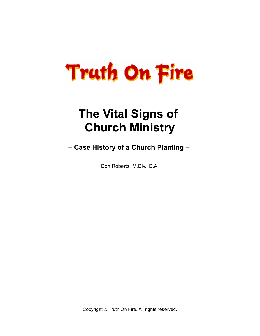# **Truth On Fire**

## **The Vital Signs of Church Ministry**

**– Case History of a Church Planting –** 

Don Roberts, M.Div., B.A.

Copyright © Truth On Fire. All rights reserved.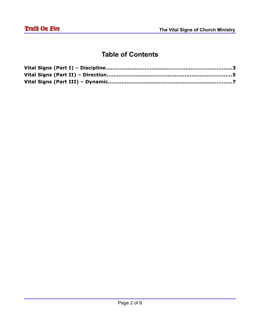#### **Table of Contents**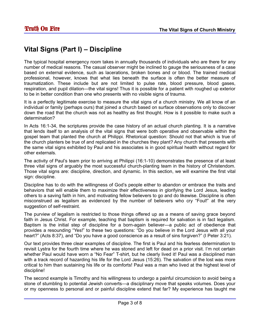### **Vital Signs (Part I) – Discipline**

The typical hospital emergency room takes in annually thousands of individuals who are there for any number of medical reasons. The casual observer might be inclined to gauge the seriousness of a case based on external evidence, such as lacerations, broken bones and or blood. The trained medical professional, however, knows that what lies beneath the surface is often the better measure of traumatization. These include but are not limited to pulse rate, blood pressure, blood gases, respiration, and pupil dilation—the vital signs! Thus it is possible for a patient with roughed up exterior to be in better condition than one who presents with no visible signs of trauma.

It is a perfectly legitimate exercise to measure the vital signs of a church ministry. We all know of an individual or family (perhaps ours) that joined a church based on surface observations only to discover down the road that the church was not as healthy as first thought. How is it possible to make such a determination?

In Acts 16:1-34, the scriptures provide the case history of an actual church planting. It is a narrative that lends itself to an analysis of the vital signs that were both operative and observable within the gospel team that planted the church at Philippi. Rhetorical question: Should not that which is true of the church planters be true of and replicated in the churches they plant? Any church that presents with the same vital signs exhibited by Paul and his associates is in good spiritual health without regard for other externals.

The activity of Paul's team prior to arriving at Philippi (16:1-10) demonstrates the presence of at least three vital signs of arguably the most successful church-planting team in the history of Christendom. Those vital signs are: discipline, direction, and dynamic. In this section, we will examine the first vital sign: discipline.

Discipline has to do with the willingness of God's people either to abandon or embrace the traits and behaviors that will enable them to maximize their effectiveness in glorifying the Lord Jesus, leading others to a saving faith in him, and motivating fellow believers to go and do likewise. Discipline is often misconstrued as legalism as evidenced by the number of believers who cry "Foul!" at the very suggestion of self-restraint.

The purview of legalism is restricted to those things offered up as a means of saving grace beyond faith in Jesus Christ. For example, teaching that baptism is required for salvation is in fact legalism. Baptism is the initial step of discipline for a born-again believer—a public act of obedience that provides a resounding "Yes!" to these two questions: "Do you believe in the Lord Jesus with all your heart?" (Acts 8:37), and "Do you have a good conscience as a result of sins forgiven?" (I Peter 3:21).

Our text provides three clear examples of discipline. The first is Paul and his fearless determination to revisit Lystra for the fourth time where he was stoned and left for dead on a prior visit. I'm not certain whether Paul would have worn a "No Fear" T-shirt, but he clearly lived it! Paul was a disciplined man with a track record of hazarding his life for the Lord Jesus (15:26). The salvation of the lost was more critical to him than sustaining his life or its comforts! Paul was a man who lived at the highest level of discipline!

The second example is Timothy and his willingness to undergo a painful circumcision to avoid being a stone of stumbling to potential Jewish converts—a disciplinary move that speaks volumes. Does your or my openness to personal and or painful discipline extend that far? My experience has taught me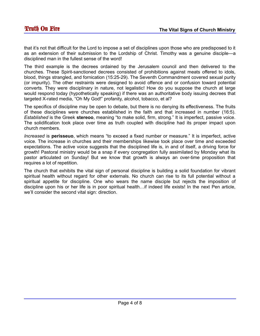that it's not that difficult for the Lord to impose a set of disciplines upon those who are predisposed to it as an extension of their submission to the Lordship of Christ. Timothy was a genuine disciple—a disciplined man in the fullest sense of the word!

The third example is the decrees ordained by the Jerusalem council and then delivered to the churches. These Spirit-sanctioned decrees consisted of prohibitions against meats offered to idols, blood, things strangled, and fornication (15:25-29). The Seventh Commandment covered sexual purity (or impurity). The other restraints were designed to avoid offence and or confusion toward potential converts. They were disciplinary in nature, not legalistic! How do you suppose the church at large would respond today (hypothetically speaking) if there was an authoritative body issuing decrees that targeted X-rated media, "Oh My God!" profanity, alcohol, tobacco, et al?

The specifics of discipline may be open to debate, but there is no denying its effectiveness. The fruits of these disciplines were churches established in the faith and that increased in number (16:5). *Established* is the Greek **stereoo**, meaning "to make solid, firm, strong." It is imperfect, passive voice. The solidification took place over time as truth coupled with discipline had its proper impact upon church members.

*Increased* is **perisseuo**, which means "to exceed a fixed number or measure." It is imperfect, active voice. The increase in churches and their memberships likewise took place over time and exceeded expectations. The active voice suggests that the disciplined life is, in and of itself, a driving force for growth! Pastoral ministry would be a snap if every congregation fully assimilated by Monday what its pastor articulated on Sunday! But we know that growth is always an over-time proposition that requires a lot of repetition.

The church that exhibits the vital sign of personal discipline is building a solid foundation for vibrant spiritual health without regard for other externals. No church can rise to its full potential without a spiritual appetite for discipline. One who wears the name disciple but rejects the imposition of discipline upon his or her life is in poor spiritual health…if indeed life exists! In the next Pen article, we'll consider the second vital sign: direction.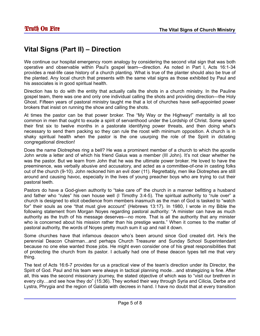#### **Vital Signs (Part II) – Direction**

We continue our hospital emergency room analogy by considering the second vital sign that was both operative and observable within Paul's gospel team—direction. As noted in Part I, Acts 16:1-34 provides a real-life case history of a church planting. What is true of the planter should also be true of the planted. Any local church that presents with the same vital signs as those exhibited by Paul and his associates is in good spiritual health.

Direction has to do with the entity that actually calls the shots in a church ministry. In the Pauline gospel team, there was one and only one individual calling the shots and providing direction—the Holy Ghost. Fifteen years of pastoral ministry taught me that a lot of churches have self-appointed power brokers that insist on running the show and calling the shots.

At times the pastor can be that power broker. The "My Way or the Highway!" mentality is all too common in men that ought to exude a spirit of servanthood under the Lordship of Christ. Some spend their first six to twelve months in a pastorate identifying power threats, and then doing what's necessary to send them packing so they can rule the roost with minimum opposition. A church is in shaky spiritual health when the pastor is the one usurping the role of the Spirit in dictating congregational direction!

Does the name Diotrephes ring a bell? He was a prominent member of a church to which the apostle John wrote a letter and of which his friend Gaius was a member (III John). It's not clear whether he was the pastor. But we learn from John that he was the ultimate power broker. He loved to have the preeminence, was verbally abusive and accusatory, and acted as a committee-of-one in casting folks out of the church (9-10). John reckoned him an evil doer (11). Regrettably, men like Diotrephes are still around and causing havoc, especially in the lives of young preacher boys who are trying to cut their pastoral teeth.

Pastors do have a God-given authority to "take care of" the church in a manner befitting a husband and father who "rules" his own house well (I Timothy 3:4-5). The spiritual authority to "rule over" a church is designed to elicit obedience from members inasmuch as the man of God is tasked to "watch for" their souls as one "that must give account" (Hebrews 13:17). In 1980, I wrote in my Bible the following statement from Morgan Noyes regarding pastoral authority: "A minister can have as much authority as the truth of his message deserves—no more. That is all the authority that any minister who is concerned about his mission rather than his prestige wants." When it comes to the matter of pastoral authority, the words of Noyes pretty much sum it up and nail it down.

Some churches have that infamous deacon who's been around since God created dirt. He's the perennial Deacon Chairman...and perhaps Church Treasurer and Sunday School Superintendant because no one else wanted those jobs. He might even consider one of his great responsibilities that of protecting the church from its pastor. I actually had one of these deacon types tell me that very thing.

The text of Acts 16:6-7 provides for us a practical view of the team's direction under its Director, the Spirit of God. Paul and his team were always in tactical planning mode…and strategizing is fine. After all, this was the second missionary journey, the stated objective of which was to "visit our brethren in every city…and see how they do" (15:36). They worked their way through Syria and Cilicia, Derbe and Lystra, Phrygia and the region of Galatia with decrees in hand. I have no doubt that at every transition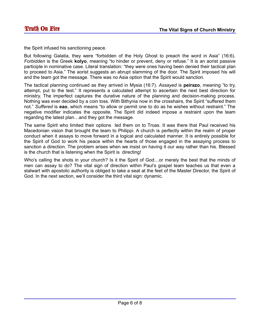the Spirit infused his sanctioning peace.

But following Galatia, they were "forbidden of the Holy Ghost to preach the word in Asia" (16:6). *Forbidden* is the Greek **kolyo**, meaning "to hinder or prevent, deny or refuse." It is an aorist passive participle in nominative case. Literal translation: "they were ones having been denied their tactical plan to proceed to Asia." The aorist suggests an abrupt slamming of the door. The Spirit imposed his will and the team got the message. There was no Asia option that the Spirit would sanction.

The tactical planning continued as they arrived in Mysia (16:7). *Assayed* is **peirazo**, meaning "to try, attempt, put to the test." It represents a calculated attempt to ascertain the next best direction for ministry. The imperfect captures the durative nature of the planning and decision-making process. Nothing was ever decided by a coin toss. With Bithynia now in the crosshairs, the Spirit "suffered them not." *Suffered* is **eao**, which means "to allow or permit one to do as he wishes without restraint." The negative modifier indicates the opposite. The Spirit did indeed impose a restraint upon the team regarding the latest plan…and they got the message.

The same Spirit who limited their options led them on to Troas. It was there that Paul received his Macedonian vision that brought the team to Philippi. A church is perfectly within the realm of proper conduct when it assays to move forward in a logical and calculated manner. It is entirely possible for the Spirit of God to work his peace within the hearts of those engaged in the assaying process to sanction a direction. The problem arises when we insist on having it our way rather than his. Blessed is the church that is listening when the Spirit is directing!

Who's calling the shots in your church? Is it the Spirit of God…or merely the best that the minds of men can assay to do? The vital sign of direction within Paul's gospel team teaches us that even a stalwart with apostolic authority is obliged to take a seat at the feet of the Master Director, the Spirit of God. In the next section, we'll consider the third vital sign: dynamic.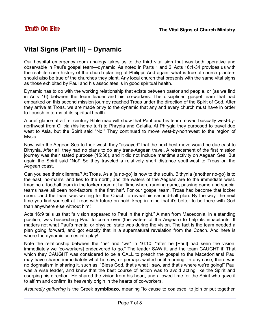#### **Vital Signs (Part III) – Dynamic**

Our hospital emergency room analogy takes us to the third vital sign that was both operative and observable in Paul's gospel team—dynamic. As noted in Parts 1 and 2, Acts 16:1-34 provides us with the real-life case history of the church planting at Philippi. And again, what is true of church planters should also be true of the churches they plant. Any local church that presents with the same vital signs as those exhibited by Paul and his associates is in good spiritual health.

Dynamic has to do with the working relationship that exists between pastor and people, or (as we find in Acts 16) between the team leader and his co-workers. The disciplined gospel team that had embarked on this second mission journey reached Troas under the direction of the Spirit of God. After they arrive at Troas, we are made privy to the dynamic that any and every church must have in order to flourish in terms of its spiritual health.

A brief glance at a first century Bible map will show that Paul and his team moved basically west-bynorthwest from Cilicia (his home turf) to Phrygia and Galatia. At Phrygia they purposed to travel due west to Asia, but the Spirit said "No!" They continued to move west-by-northwest to the region of Mysia.

Now, with the Aegean Sea to their west, they "assayed" that the next best move would be due east to Bithynia. After all, they had no plans to do any trans-Aegean travel. A retracement of the first mission journey was their stated purpose (15:36), and it did not include maritime activity on Aegean Sea. But again the Spirit said "No!" So they traveled a relatively short distance southwest to Troas on the Aegean coast.

Can you see their dilemma? At Troas, Asia (a no-go) is now to the south, Bithynia (another no-go) is to the east, no-man's land lies to the north, and the waters of the Aegean are to the immediate west. Imagine a football team in the locker room at halftime where running game, passing game and special teams have all been non-factors in the first half. For our gospel team, Troas had become that locker room…and the team was waiting for the Coach to reveal his second-half plan. By the way, the next time you find yourself at Troas with future on hold, keep in mind that it's better to be there with God than anywhere else without him!

Acts 16:9 tells us that "a vision appeared to Paul in the night." A man from Macedonia, in a standing position, was beseeching Paul to come over (the waters of the Aegean) to help its inhabitants. It matters not what Paul's mental or physical state was during the vision. The fact is the team needed a plan going forward, and got exactly that in a supernatural revelation from the Coach. And here is where the dynamic comes into play!

Note the relationship between the "he" and "we" in 16:10: "after he [Paul] had seen the vision, immediately we [co-workers] endeavored to go." The leader SAW it, and the team CAUGHT it! That which they CAUGHT was considered to be a CALL to preach the gospel to the Macedonians! Paul may have shared immediately what he saw, or perhaps waited until morning. In any case, there was no dogmatism in sharing it, such as: "Bless God, that's what I saw, and that's where we're going!" Paul was a wise leader, and knew that the best course of action was to avoid acting like the Spirit and usurping his direction. He shared the vision from his heart, and allowed time for the Spirit who gave it to affirm and confirm its heavenly origin in the hearts of co-workers.

*Assuredly gathering* is the Greek **symbibazo**, meaning "to cause to coalesce, to join or put together,